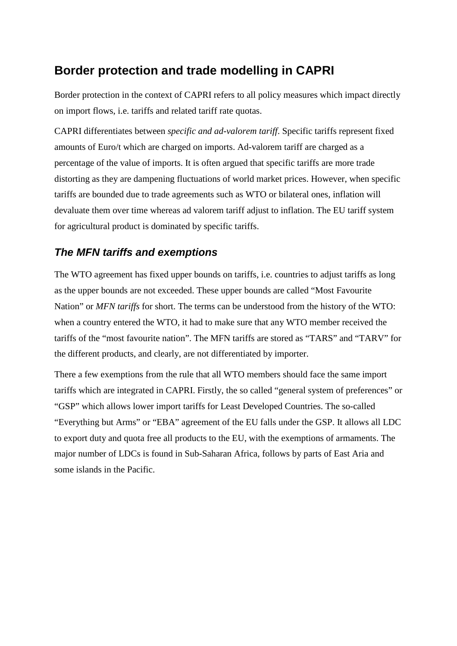# **Border protection and trade modelling in CAPRI**

Border protection in the context of CAPRI refers to all policy measures which impact directly on import flows, i.e. tariffs and related tariff rate quotas.

CAPRI differentiates between *specific and ad-valorem tariff*. Specific tariffs represent fixed amounts of Euro/t which are charged on imports. Ad-valorem tariff are charged as a percentage of the value of imports. It is often argued that specific tariffs are more trade distorting as they are dampening fluctuations of world market prices. However, when specific tariffs are bounded due to trade agreements such as WTO or bilateral ones, inflation will devaluate them over time whereas ad valorem tariff adjust to inflation. The EU tariff system for agricultural product is dominated by specific tariffs.

#### *The MFN tariffs and exemptions*

The WTO agreement has fixed upper bounds on tariffs, i.e. countries to adjust tariffs as long as the upper bounds are not exceeded. These upper bounds are called "Most Favourite Nation" or *MFN tariffs* for short. The terms can be understood from the history of the WTO: when a country entered the WTO, it had to make sure that any WTO member received the tariffs of the "most favourite nation". The MFN tariffs are stored as "TARS" and "TARV" for the different products, and clearly, are not differentiated by importer.

There a few exemptions from the rule that all WTO members should face the same import tariffs which are integrated in CAPRI. Firstly, the so called "general system of preferences" or "GSP" which allows lower import tariffs for Least Developed Countries. The so-called "Everything but Arms" or "EBA" agreement of the EU falls under the GSP. It allows all LDC to export duty and quota free all products to the EU, with the exemptions of armaments. The major number of LDCs is found in Sub-Saharan Africa, follows by parts of East Aria and some islands in the Pacific.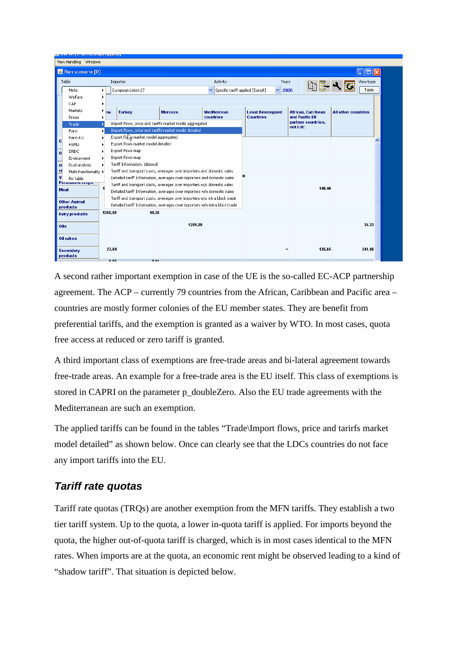|                      | المستويس وممصر ستدرج المسترقيات<br>View Handling Windows |   |                   |                                                                                                                  |                                                                                                                                                         |                                                          |          |                  |                         |                                                 |  |                           |                            |           |  |  |  |  |
|----------------------|----------------------------------------------------------|---|-------------------|------------------------------------------------------------------------------------------------------------------|---------------------------------------------------------------------------------------------------------------------------------------------------------|----------------------------------------------------------|----------|------------------|-------------------------|-------------------------------------------------|--|---------------------------|----------------------------|-----------|--|--|--|--|
|                      | <b>&amp;</b> Run scenario [0]                            |   |                   |                                                                                                                  |                                                                                                                                                         |                                                          |          |                  |                         |                                                 |  |                           |                            | o         |  |  |  |  |
|                      | Table                                                    |   |                   | Importer                                                                                                         |                                                                                                                                                         |                                                          | Activity |                  |                         | Years                                           |  |                           |                            | View type |  |  |  |  |
|                      | Meta                                                     | ٠ | European Union 27 |                                                                                                                  |                                                                                                                                                         | $\checkmark$<br>Specific tariff applied [Euro/t]<br>2020 |          |                  |                         |                                                 |  |                           |                            | Table     |  |  |  |  |
|                      | Welfare                                                  |   |                   |                                                                                                                  |                                                                                                                                                         |                                                          |          |                  |                         |                                                 |  |                           |                            |           |  |  |  |  |
|                      | CAP                                                      |   |                   |                                                                                                                  |                                                                                                                                                         |                                                          |          |                  |                         |                                                 |  |                           |                            |           |  |  |  |  |
|                      | Markets                                                  | ٠ | <b>EW</b>         | <b>Turkey</b>                                                                                                    | <b>Morocco</b>                                                                                                                                          | <b>Mediterrean</b>                                       |          |                  | <b>Least Developped</b> |                                                 |  | <b>African, Carribean</b> | <b>All other countries</b> |           |  |  |  |  |
|                      | Prices                                                   |   |                   |                                                                                                                  |                                                                                                                                                         | countries                                                |          | <b>Countries</b> |                         | and Pacific EU<br>partner countries,<br>not LDC |  |                           |                            |           |  |  |  |  |
|                      | Trade                                                    |   |                   | Import flows, price and tariffs market model aggregated<br>Import flows, price and tariffs market model detailed |                                                                                                                                                         |                                                          |          |                  |                         |                                                 |  |                           |                            |           |  |  |  |  |
|                      | Farm<br>Farm EU                                          | Ы |                   | Export flox market model aggregated                                                                              |                                                                                                                                                         |                                                          |          |                  |                         |                                                 |  |                           |                            |           |  |  |  |  |
| $\mathbf{c}$         | <b>HSMU</b>                                              |   |                   | Export flows market model detailed                                                                               |                                                                                                                                                         |                                                          |          |                  |                         |                                                 |  |                           |                            |           |  |  |  |  |
| $\overline{\bullet}$ | <b>DNDC</b>                                              |   |                   | Export flows map                                                                                                 |                                                                                                                                                         |                                                          |          |                  |                         |                                                 |  |                           |                            |           |  |  |  |  |
|                      | Environment                                              |   |                   | Import flows map                                                                                                 |                                                                                                                                                         |                                                          |          |                  |                         |                                                 |  |                           |                            |           |  |  |  |  |
| $\mathbf{o}$         | Dual analysis                                            |   |                   | Tariff Information, bilateral                                                                                    |                                                                                                                                                         |                                                          |          |                  |                         |                                                 |  |                           |                            |           |  |  |  |  |
| c <sub>1</sub>       | Multi-Functionality ▶                                    |   |                   |                                                                                                                  | Tariff and transport costs, averages over importers and domestic sales                                                                                  |                                                          |          |                  |                         |                                                 |  |                           |                            |           |  |  |  |  |
| $\mathbf{v}$         | No table                                                 |   |                   |                                                                                                                  | Detailed tariff Information, averages over importers and domestic sales                                                                                 |                                                          |          |                  |                         |                                                 |  |                           |                            |           |  |  |  |  |
|                      | Permanent crops<br><b>Meat</b>                           |   |                   |                                                                                                                  | Tariff and transport costs, averages over importers w/o domestic sales                                                                                  |                                                          |          |                  |                         |                                                 |  | 148.40                    |                            |           |  |  |  |  |
|                      |                                                          |   |                   |                                                                                                                  | Detailed tariff Information, averages over importers w/o domestic sales                                                                                 |                                                          |          |                  |                         |                                                 |  |                           |                            |           |  |  |  |  |
|                      | <b>Other Animal</b><br>products                          |   |                   |                                                                                                                  | Tariff and transport costs, averages over importers w/o intra block trade<br>Detailed tariff Information, averages over importers w/o intra block trade |                                                          |          |                  |                         |                                                 |  |                           |                            |           |  |  |  |  |
|                      | <b>Dairy products</b>                                    |   | 1365.09           | 98.26                                                                                                            |                                                                                                                                                         |                                                          |          |                  |                         |                                                 |  |                           |                            |           |  |  |  |  |
|                      |                                                          |   |                   |                                                                                                                  |                                                                                                                                                         |                                                          |          |                  |                         |                                                 |  |                           |                            |           |  |  |  |  |
| <b>Oils</b>          |                                                          |   |                   |                                                                                                                  | 1289.20                                                                                                                                                 |                                                          |          |                  |                         |                                                 |  |                           |                            | 35.33     |  |  |  |  |
|                      | <b>Oil cakes</b>                                         |   |                   |                                                                                                                  |                                                                                                                                                         |                                                          |          |                  |                         |                                                 |  |                           |                            |           |  |  |  |  |
|                      | <b>Secondary</b><br>products                             |   | 27.84             |                                                                                                                  |                                                                                                                                                         |                                                          |          |                  |                         | 80                                              |  | 135.65                    |                            | 341.16    |  |  |  |  |
|                      |                                                          |   | n n3              | 0.44                                                                                                             |                                                                                                                                                         |                                                          |          |                  |                         |                                                 |  |                           |                            |           |  |  |  |  |

A second rather important exemption in case of the UE is the so-called EC-ACP partnership agreement. The ACP – currently 79 countries from the African, Caribbean and Pacific area – countries are mostly former colonies of the EU member states. They are benefit from preferential tariffs, and the exemption is granted as a waiver by WTO. In most cases, quota free access at reduced or zero tariff is granted.

A third important class of exemptions are free-trade areas and bi-lateral agreement towards free-trade areas. An example for a free-trade area is the EU itself. This class of exemptions is stored in CAPRI on the parameter p\_doubleZero. Also the EU trade agreements with the Mediterranean are such an exemption.

The applied tariffs can be found in the tables "Trade\Import flows, price and tarirfs market model detailed" as shown below. Once can clearly see that the LDCs countries do not face any import tariffs into the EU.

### *Tariff rate quotas*

Tariff rate quotas (TRQs) are another exemption from the MFN tariffs. They establish a two tier tariff system. Up to the quota, a lower in-quota tariff is applied. For imports beyond the quota, the higher out-of-quota tariff is charged, which is in most cases identical to the MFN rates. When imports are at the quota, an economic rent might be observed leading to a kind of "shadow tariff". That situation is depicted below.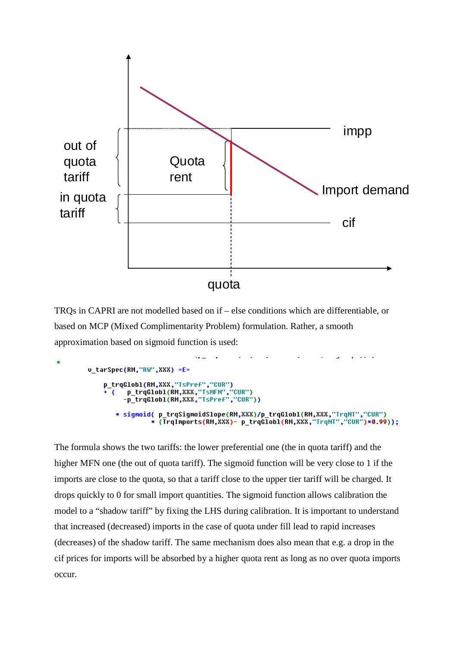

TRQs in CAPRI are not modelled based on if – else conditions which are differentiable, or based on MCP (Mixed Complimentarity Problem) formulation. Rather, a smooth approximation based on sigmoid function is used:

```
u_tarSpec(RM,"RW",XXX) =E=
      p_trqGlobl(RM,XXX,"TsPref","CUR")
              -<br>p_trqGlobl(RM,XXX,"TsMFN","CUR")<br>-p_trqGlobl(RM,XXX,"TsPref","CUR"))
         \epsilon* sigmoid( p_trqSigmoidSlope(RM,XXX)/p_trqGlobl(RM,XXX,"TrqNT","CUR")<br>* (TrqImports(RM,XXX)- p_trqGlobl(RM,XXX,"TrqNT","CUR")*0.99));
```
The formula shows the two tariffs: the lower preferential one (the in quota tariff) and the higher MFN one (the out of quota tariff). The sigmoid function will be very close to 1 if the imports are close to the quota, so that a tariff close to the upper tier tariff will be charged. It drops quickly to 0 for small import quantities. The sigmoid function allows calibration the model to a "shadow tariff" by fixing the LHS during calibration. It is important to understand that increased (decreased) imports in the case of quota under fill lead to rapid increases (decreases) of the shadow tariff. The same mechanism does also mean that e.g. a drop in the cif prices for imports will be absorbed by a higher quota rent as long as no over quota imports occur.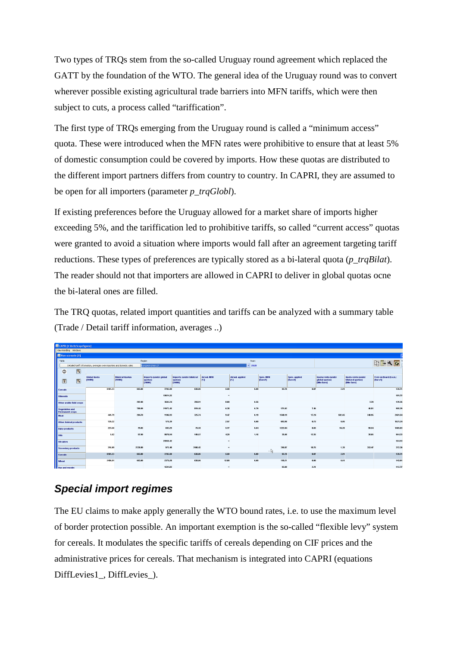Two types of TRQs stem from the so-called Uruguay round agreement which replaced the GATT by the foundation of the WTO. The general idea of the Uruguay round was to convert wherever possible existing agricultural trade barriers into MFN tariffs, which were then subject to cuts, a process called "tariffication".

The first type of TRQs emerging from the Uruguay round is called a "minimum access" quota. These were introduced when the MFN rates were prohibitive to ensure that at least 5% of domestic consumption could be covered by imports. How these quotas are distributed to the different import partners differs from country to country. In CAPRI, they are assumed to be open for all importers (parameter *p\_trqGlobl*).

If existing preferences before the Uruguay allowed for a market share of imports higher exceeding 5%, and the tariffication led to prohibitive tariffs, so called "current access" quotas were granted to avoid a situation where imports would fall after an agreement targeting tariff reductions. These types of preferences are typically stored as a bi-lateral quota (*p\_trqBilat*). The reader should not that importers are allowed in CAPRI to deliver in global quotas ocne the bi-lateral ones are filled.

The TRQ quotas, related import quantities and tariffs can be analyzed with a summary table (Trade / Detail tariff information, averages ..)

| CAPRI [t:\britz\capri\gams]                     |             |                                                                         |         |                                    |         |                                             |                                                |                           |                        |             |                      |                           |                                                    |                                                       |                                    |
|-------------------------------------------------|-------------|-------------------------------------------------------------------------|---------|------------------------------------|---------|---------------------------------------------|------------------------------------------------|---------------------------|------------------------|-------------|----------------------|---------------------------|----------------------------------------------------|-------------------------------------------------------|------------------------------------|
| Wew Handing Windows                             |             |                                                                         |         |                                    |         |                                             |                                                |                           |                        |             |                      |                           |                                                    |                                                       |                                    |
| Run scenario [0]                                |             |                                                                         |         |                                    |         |                                             |                                                |                           |                        |             |                      |                           |                                                    |                                                       |                                    |
| Table                                           |             |                                                                         |         |                                    |         | Region                                      |                                                |                           |                        | Years       |                      |                           |                                                    |                                                       |                                    |
|                                                 |             | Detailed tariff Information, averages over importers and domestic sales |         |                                    |         | European Union 27                           |                                                |                           |                        | $\vee$ 2020 |                      |                           |                                                    |                                                       |                                    |
| $\bullet$                                       | $\boxed{7}$ |                                                                         |         |                                    |         |                                             |                                                |                           |                        |             |                      |                           |                                                    |                                                       |                                    |
| $\mathbf{z}$                                    | 7           | <b>Global Quota</b><br>[1000t]                                          |         | <b>Bilateral Quotas</b><br>[1000t] |         | Imports (under global<br>quotas)<br>[10001] | Imports (under bilateral<br>quotas)<br>[10001] | Ad val. MFN<br><b>F%1</b> | Ad val. applied<br>[%] |             | Spec. MFN<br>[Euro#] | Spec. applied<br>[Euro/t] | Quota rents (under<br>global quotas)<br>[Mio Euro] | Quota rents (under<br>bilateral quotas)<br>[Mio Euro] | Free on Board (f.o.b.)<br>[Furo/U] |
| Cereals                                         |             |                                                                         | 6181.23 |                                    | 663.00  | 7702.50                                     | 638.06                                         | 5.50                      |                        | 0.00        | 92.78                | 0.07                      | 2.01                                               |                                                       | 139.71                             |
| <b>Oilseeds</b>                                 |             |                                                                         |         |                                    |         | 19024.35                                    |                                                | $^{\circ}$                |                        |             |                      |                           |                                                    |                                                       | 181.72                             |
| Other arable field crops                        |             |                                                                         |         |                                    | 282.00  | 3604.24                                     | 284.91                                         | 8.00                      |                        | 0.56        |                      |                           |                                                    | 3.20                                                  | 129.26                             |
| <b>Vegetables and</b><br><b>Permanent crops</b> |             |                                                                         |         |                                    | 780.09  | 21973.45                                    | 819.44                                         | 6.38                      |                        | 0.79        | 171.02               | 7.46                      |                                                    | 46.81                                                 | 985.29                             |
| Meat                                            |             |                                                                         | 441.79  |                                    | 284.70  | 1106.93                                     | 325.74                                         | 9.47                      |                        | 0.19        | 1540.19              | 17.24                     | 502.65                                             | 340.95                                                | 2451.54                            |
| <b>Other Animal products</b>                    |             |                                                                         | 135.22  |                                    |         | 175.39                                      |                                                | 2.57                      |                        | 0.00        | 693.98               | 0.73                      | 0.05                                               |                                                       | 1521.34                            |
| <b>Dairy products</b>                           |             |                                                                         | 223.56  |                                    | 79.85   | 683.29                                      | 76.18                                          | 5.77                      |                        | 0.04        | 1222.84              | 8.65                      | 94.20                                              | 98.54                                                 | 1405.03                            |
| Oils                                            |             |                                                                         | 5.62    |                                    | 57.00   | 9878.94                                     | 149.57                                         | 4.29                      |                        | 1.16        | 35.08                | 13.35                     |                                                    | 38.05                                                 | 964.33                             |
| Oil cakes                                       |             |                                                                         |         |                                    |         | 25959.42                                    |                                                | $\omega$                  |                        |             |                      |                           |                                                    |                                                       | 164.13                             |
| <b>Secondary products</b>                       |             |                                                                         | 216.09  |                                    | 2339.80 | 977.48                                      | 3108.43                                        | $\infty$                  |                        |             | 310.87<br>$\cdot$ by | 18.75                     | 1.39                                               | 353.47                                                | 372.3                              |
| <b>Cereals</b>                                  |             |                                                                         | 6181.23 |                                    | 663.00  | 7702.50                                     | 638.06                                         | 6.50                      |                        | 0.00        | 92.78                | 0.07                      | 2.01                                               |                                                       | 139.71                             |
| Wheat                                           |             |                                                                         | 2496.91 |                                    | 663.00  | 2379.28                                     | 638.06                                         | 12.80                     |                        | 0.00        | 118.21               | 0.00                      | 0.61                                               |                                                       | 143.01                             |
| <b>Rye and meslin</b>                           |             |                                                                         |         |                                    |         | 1594.83                                     |                                                | 40.                       |                        |             | 93.00                | 2.21                      |                                                    |                                                       | 112.77                             |

#### *Special import regimes*

The EU claims to make apply generally the WTO bound rates, i.e. to use the maximum level of border protection possible. An important exemption is the so-called "flexible levy" system for cereals. It modulates the specific tariffs of cereals depending on CIF prices and the administrative prices for cereals. That mechanism is integrated into CAPRI (equations DiffLevies1\_, DiffLevies\_).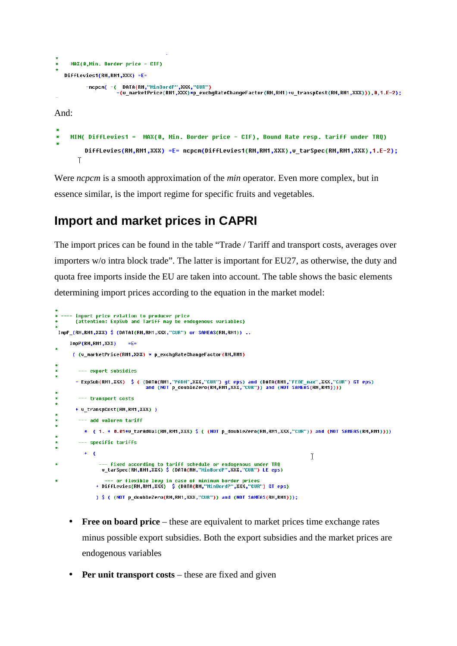```
MAX(0,Min. Border price - CIF)
   DiffLevies1(RM,RM1,XXX) =E=
         -ncpcm( -( DATA(RM,"MinBordP",XXX,"CUR")
                   -(u_marketPrice(RM1,XXX)*p_exchgRateChangeFactor(RM,RM1)+u_transpCost(RM,RM1,XXX))),0,1.E-2);
And:
    MIN( DiffLevies1 = MAX(0, Min. Border price - CIF), Bound Rate resp. tariff under TRQ)
\ddot{\bullet}DiffLevies(RM,RM1,XXX) =E= ncpcm(DiffLevies1(RM,RM1,XXX),v_tarSpec(RM,RM1,XXX),1.E-2);
       T
```
Were *ncpcm* is a smooth approximation of the *min* operator. Even more complex, but in essence similar, is the import regime for specific fruits and vegetables.

## **Import and market prices in CAPRI**

The import prices can be found in the table "Trade / Tariff and transport costs, averages over importers w/o intra block trade". The latter is important for EU27, as otherwise, the duty and quota free imports inside the EU are taken into account. The table shows the basic elements determining import prices according to the equation in the market model:

```
-<br>* ---- import price relation to producer price<br>*     (attention: ExpSub and Tariff may be endogenous variables)
 ImpP (RM,RM1,XXX) $ (DATAI(RM,RM1,XXX,"CUR") or SAMEAS(RM,RM1)) ..
       ImpP(RM.RM1.XXX)
                                 \pm E_{\rm B}( (v_marketPrice(RM1,XXX) * p_exchgRateChangeFactor(RM,RM1)
           --- export subsidies
         - ExpSub(RM1,XXX) $ ( (DATA(RM1,"PADM",XXX,"CUR") gt eps) and (DATA(RM1,"FEOE_max",XXX,"CUR") GT eps)<br>and (NOT p_doubleZero(RM,RM1,XXX,"CUR")) and (NOT SAMEAS(RM,RM1))))
          --- transport costs
\star+ v transpCost(RM,RM1,XXX) )
           --- add valorem tariff
             * ( 1. + 0.01*v_tarAdVal(RM,RM1,XXX) $ ( (NOT p_doubleZero(RM,RM1,XXX,"CUR")) and (NOT SAMEAS(RM,RM1))))
×.
           --- specific tariffs
             + - C<sup>T</sup>
                    --- fixed according to tariff schedule or endogenous under TRQ<br>-v_tarSpec(RM,RM1,XXX) $ (DATA(RM,"MinBordP",XXX,"CUR") LE eps)
¥
                   --- or flexible levy in case of minimum border prices<br>+ Difflevies(RM,RM1,XXX) $ (DATA(RM,"MinBordP",XXX,"CUR") GT eps)
                   ) $ ( (NOT p_doubleZero(RM,RM1,XXX,"CUR")) and (NOT SAMEAS(RM,RM1)));
```
- **Free on board price** these are equivalent to market prices time exchange rates minus possible export subsidies. Both the export subsidies and the market prices are endogenous variables
- **Per unit transport costs** these are fixed and given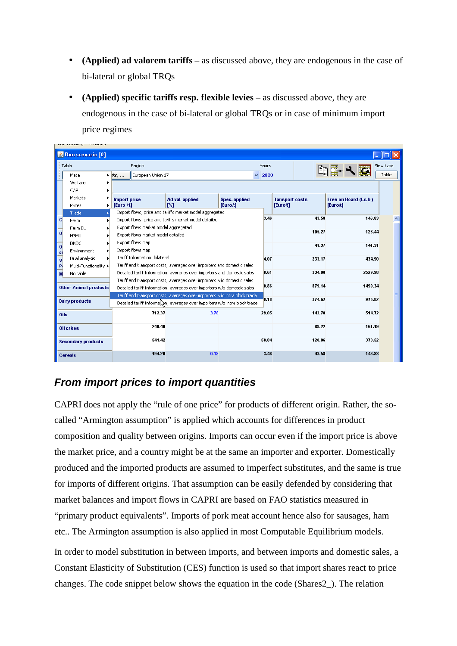- **(Applied) ad valorem tariffs** as discussed above, they are endogenous in the case of bi-lateral or global TRQs
- **(Applied) specific tariffs resp. flexible levies** as discussed above, they are endogenous in the case of bi-lateral or global TRQs or in case of minimum import price regimes

|                          | Run scenario [0]             |   |                       |                                      |                                                                            |                      |   |       |                       |        |                        |         |           |  |
|--------------------------|------------------------------|---|-----------------------|--------------------------------------|----------------------------------------------------------------------------|----------------------|---|-------|-----------------------|--------|------------------------|---------|-----------|--|
|                          | Table                        |   |                       | Region                               |                                                                            |                      |   | Years |                       |        |                        |         | View type |  |
|                          | Meta                         |   | $\triangleright$ sts, | European Union 27                    |                                                                            |                      | v | 2020  |                       |        |                        |         | Table     |  |
|                          | Welfare                      |   |                       |                                      |                                                                            |                      |   |       |                       |        |                        |         |           |  |
|                          | CAP                          |   |                       |                                      |                                                                            |                      |   |       |                       |        |                        |         |           |  |
|                          | Markets                      |   | <b>Import price</b>   |                                      | Ad val. applied                                                            | <b>Spec. applied</b> |   |       | <b>Tansport costs</b> |        | Free on Board (f.o.b.) |         |           |  |
|                          | Prices                       | ۱ | [Euro /t]             |                                      | $I\%$                                                                      | [Euro/t]             |   |       | [Euro/t]              |        | [Euro/t]               |         |           |  |
|                          | Trade                        |   |                       |                                      | Import flows, price and tariffs market model aggregated                    |                      |   |       |                       |        |                        |         |           |  |
| $\mathbf{C}$             | Farm                         |   |                       |                                      | Import flows, price and tariffs market model detailed                      |                      |   | 3.46  |                       | 43.58  |                        | 146.83  |           |  |
| $\overline{\phantom{a}}$ | Farm EU                      |   |                       | Export flows market model aggregated |                                                                            |                      |   |       |                       | 105.27 |                        | 123.44  |           |  |
|                          | <b>HSMU</b>                  |   |                       | Export flows market model detailed   |                                                                            |                      |   |       |                       |        |                        |         |           |  |
| $\overline{\phantom{a}}$ | <b>DNDC</b>                  |   |                       | Export flows map                     |                                                                            |                      |   |       |                       | 41.37  |                        | 141.31  |           |  |
| $ci$                     | Environment                  |   |                       | Import flows map                     |                                                                            |                      |   |       |                       |        |                        |         |           |  |
| $\overline{\mathsf{v}}$  | Dual analysis                |   |                       | Tariff Information, bilateral        |                                                                            |                      |   | 4.07  |                       | 233.17 |                        | 434.90  |           |  |
| P                        | Multi-Functionality >        |   |                       |                                      | Tariff and transport costs, averages over importers and domestic sales     |                      |   |       |                       |        |                        |         |           |  |
| M                        | No table                     |   |                       |                                      | Detailed tariff Information, averages over importers and domestic sales    |                      |   | 8.61  |                       | 334.00 |                        | 2529.98 |           |  |
|                          |                              |   |                       |                                      | Tariff and transport costs, averages over importers w/o domestic sales     |                      |   |       |                       |        |                        |         |           |  |
|                          | <b>Other Animal products</b> |   |                       |                                      | Detailed tariff Information, averages over importers w/o domestic sales    |                      |   | 0.86  |                       | 879.14 |                        | 1499.34 |           |  |
|                          |                              |   |                       |                                      | Tariff and transport costs, averages over importers w/o intra block trade  |                      |   | 9.18  |                       | 374.62 |                        | 975.82  |           |  |
|                          | <b>Dairy products</b>        |   |                       |                                      | Detailed tariff Informal and averages over importers w/o intra block trade |                      |   |       |                       |        |                        |         |           |  |
|                          | Oils                         |   |                       | 712.37                               | 3.78                                                                       |                      |   | 29.05 |                       | 143.70 |                        | 514.72  |           |  |
|                          | <b>Oil cakes</b>             |   |                       | 249.40                               |                                                                            |                      |   |       |                       | 88.22  |                        | 161.19  |           |  |
|                          |                              |   |                       |                                      |                                                                            |                      |   |       |                       |        |                        |         |           |  |
|                          | <b>Secondary products</b>    |   |                       | 541.42                               |                                                                            |                      |   | 50.84 |                       | 120.06 |                        | 370.52  |           |  |
|                          | <b>Cereals</b>               |   |                       | 194.20                               | 0.18                                                                       |                      |   | 3.46  |                       | 43.58  |                        | 146.83  |           |  |

#### *From import prices to import quantities*

CAPRI does not apply the "rule of one price" for products of different origin. Rather, the socalled "Armington assumption" is applied which accounts for differences in product composition and quality between origins. Imports can occur even if the import price is above the market price, and a country might be at the same an importer and exporter. Domestically produced and the imported products are assumed to imperfect substitutes, and the same is true for imports of different origins. That assumption can be easily defended by considering that market balances and import flows in CAPRI are based on FAO statistics measured in "primary product equivalents". Imports of pork meat account hence also for sausages, ham etc.. The Armington assumption is also applied in most Computable Equilibrium models.

In order to model substitution in between imports, and between imports and domestic sales, a Constant Elasticity of Substitution (CES) function is used so that import shares react to price changes. The code snippet below shows the equation in the code (Shares2\_). The relation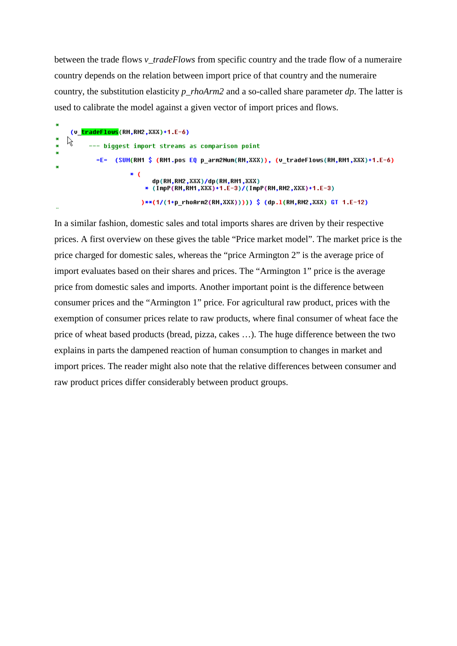between the trade flows *v\_tradeFlows* from specific country and the trade flow of a numeraire country depends on the relation between import price of that country and the numeraire country, the substitution elasticity *p\_rhoArm2* and a so-called share parameter *dp*. The latter is used to calibrate the model against a given vector of import prices and flows.

(v tradeFlows(RM.RM2.XXX)+1.E-6) R --- biqqest import streams as comparison point =E= (SUM(RM1 \$ (RM1.pos EQ p\_arm2Num(RM,XXX)), (v\_tradeFlows(RM,RM1,XXX)+1.E-6)  $*$  ( dp(RM,RM2,XXX)/dp(RM,RM1,XXX) \* (ImpP(RM,RM1,XXX)+1.E-3)/(ImpP(RM,RM2,XXX)+1.E-3) )\*\*(1/(1+p\_rhoArm2(RM,XXX))))) \$ (dp.1(RM,RM2,XXX) GT 1.E-12)

In a similar fashion, domestic sales and total imports shares are driven by their respective prices. A first overview on these gives the table "Price market model". The market price is the price charged for domestic sales, whereas the "price Armington 2" is the average price of import evaluates based on their shares and prices. The "Armington 1" price is the average price from domestic sales and imports. Another important point is the difference between consumer prices and the "Armington 1" price. For agricultural raw product, prices with the exemption of consumer prices relate to raw products, where final consumer of wheat face the price of wheat based products (bread, pizza, cakes …). The huge difference between the two explains in parts the dampened reaction of human consumption to changes in market and import prices. The reader might also note that the relative differences between consumer and raw product prices differ considerably between product groups.